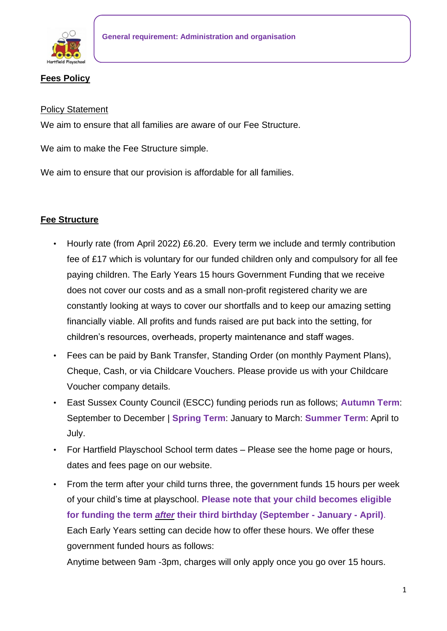

## **Fees Policy**

#### Policy Statement

We aim to ensure that all families are aware of our Fee Structure.

We aim to make the Fee Structure simple.

We aim to ensure that our provision is affordable for all families.

## **Fee Structure**

- Hourly rate (from April 2022) £6.20. Every term we include and termly contribution fee of £17 which is voluntary for our funded children only and compulsory for all fee paying children. The Early Years 15 hours Government Funding that we receive does not cover our costs and as a small non-profit registered charity we are constantly looking at ways to cover our shortfalls and to keep our amazing setting financially viable. All profits and funds raised are put back into the setting, for children's resources, overheads, property maintenance and staff wages.
- Fees can be paid by Bank Transfer, Standing Order (on monthly Payment Plans), Cheque, Cash, or via Childcare Vouchers. Please provide us with your Childcare Voucher company details.
- East Sussex County Council (ESCC) funding periods run as follows; **Autumn Term**: September to December | **Spring Term**: January to March: **Summer Term**: April to July.
- For Hartfield Playschool School term dates Please see the home page or hours, dates and fees page on our website.
- From the term after your child turns three, the government funds 15 hours per week of your child's time at playschool. **Please note that your child becomes eligible for funding the term** *after* **their third birthday (September - January - April)**. Each Early Years setting can decide how to offer these hours. We offer these government funded hours as follows:

Anytime between 9am -3pm, charges will only apply once you go over 15 hours.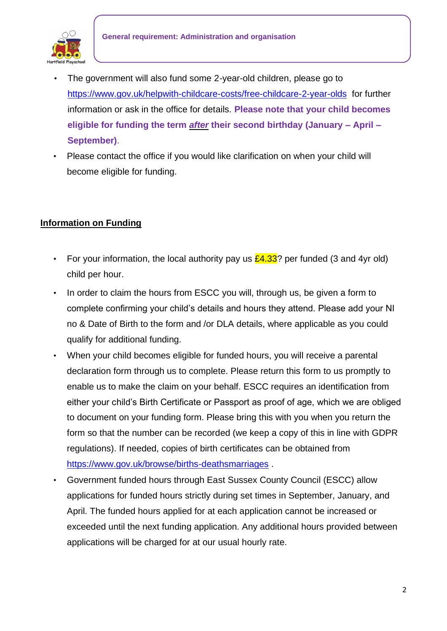

- The government will also fund some 2-year-old children, please go t[o](https://www.gov.uk/help-with-childcare-costs/free-childcare-2-year-olds) [https://www.gov.uk/helpwith-childcare-costs/free-childcare-2-year-olds](https://www.gov.uk/help-with-childcare-costs/free-childcare-2-year-olds) for further information or ask in the office for details. **Please note that your child becomes eligible for funding the term** *after* **their second birthday (January – April – September)**.
- Please contact the office if you would like clarification on when your child will become eligible for funding.

# **Information on Funding**

- For your information, the local authority pay us  $£4.33$ ? per funded (3 and 4yr old) child per hour.
- In order to claim the hours from ESCC you will, through us, be given a form to complete confirming your child's details and hours they attend. Please add your NI no & Date of Birth to the form and /or DLA details, where applicable as you could qualify for additional funding.
- When your child becomes eligible for funded hours, you will receive a parental declaration form through us to complete. Please return this form to us promptly to enable us to make the claim on your behalf. ESCC requires an identification from either your child's Birth Certificate or Passport as proof of age, which we are obliged to document on your funding form. Please bring this with you when you return the form so that the number can be recorded (we keep a copy of this in line with GDPR regulations). If needed, copies of birth certificates can be obtained from <https://www.gov.uk/browse/births-deathsmarriages> [.](https://www.gov.uk/browse/births-deathsmarriages)
- Government funded hours through East Sussex County Council (ESCC) allow applications for funded hours strictly during set times in September, January, and April. The funded hours applied for at each application cannot be increased or exceeded until the next funding application. Any additional hours provided between applications will be charged for at our usual hourly rate.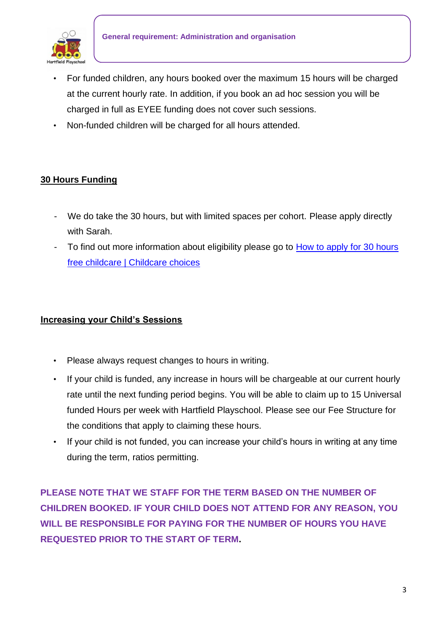

- For funded children, any hours booked over the maximum 15 hours will be charged at the current hourly rate. In addition, if you book an ad hoc session you will be charged in full as EYEE funding does not cover such sessions.
- Non-funded children will be charged for all hours attended.

# **30 Hours Funding**

- We do take the 30 hours, but with limited spaces per cohort. Please apply directly with Sarah.
- To find out more information about eligibility please go to How to apply for 30 hours [free childcare | Childcare choices](https://www.childcarechoices.gov.uk/how-to-apply-for-30-hours-free-childcare/)

### **Increasing your Child's Sessions**

- Please always request changes to hours in writing.
- If your child is funded, any increase in hours will be chargeable at our current hourly rate until the next funding period begins. You will be able to claim up to 15 Universal funded Hours per week with Hartfield Playschool. Please see our Fee Structure for the conditions that apply to claiming these hours.
- If your child is not funded, you can increase your child's hours in writing at any time during the term, ratios permitting.

**PLEASE NOTE THAT WE STAFF FOR THE TERM BASED ON THE NUMBER OF CHILDREN BOOKED. IF YOUR CHILD DOES NOT ATTEND FOR ANY REASON, YOU WILL BE RESPONSIBLE FOR PAYING FOR THE NUMBER OF HOURS YOU HAVE REQUESTED PRIOR TO THE START OF TERM.**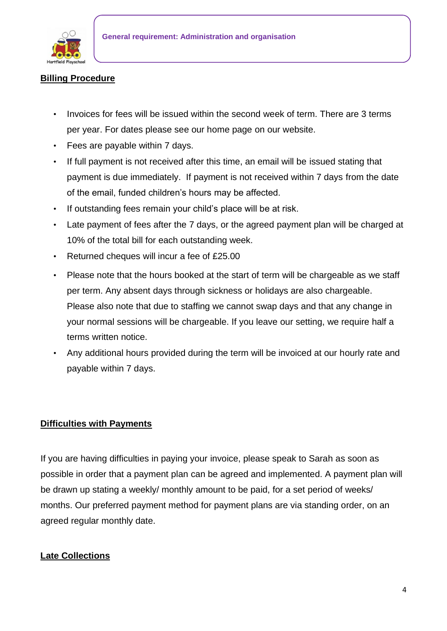

#### **Billing Procedure**

- Invoices for fees will be issued within the second week of term. There are 3 terms per year. For dates please see our home page on our website.
- Fees are payable within 7 days.
- If full payment is not received after this time, an email will be issued stating that payment is due immediately. If payment is not received within 7 days from the date of the email, funded children's hours may be affected.
- If outstanding fees remain your child's place will be at risk.
- Late payment of fees after the 7 days, or the agreed payment plan will be charged at 10% of the total bill for each outstanding week.
- Returned cheques will incur a fee of £25.00
- Please note that the hours booked at the start of term will be chargeable as we staff per term. Any absent days through sickness or holidays are also chargeable. Please also note that due to staffing we cannot swap days and that any change in your normal sessions will be chargeable. If you leave our setting, we require half a terms written notice.
- Any additional hours provided during the term will be invoiced at our hourly rate and payable within 7 days.

### **Difficulties with Payments**

If you are having difficulties in paying your invoice, please speak to Sarah as soon as possible in order that a payment plan can be agreed and implemented. A payment plan will be drawn up stating a weekly/ monthly amount to be paid, for a set period of weeks/ months. Our preferred payment method for payment plans are via standing order, on an agreed regular monthly date.

### **Late Collections**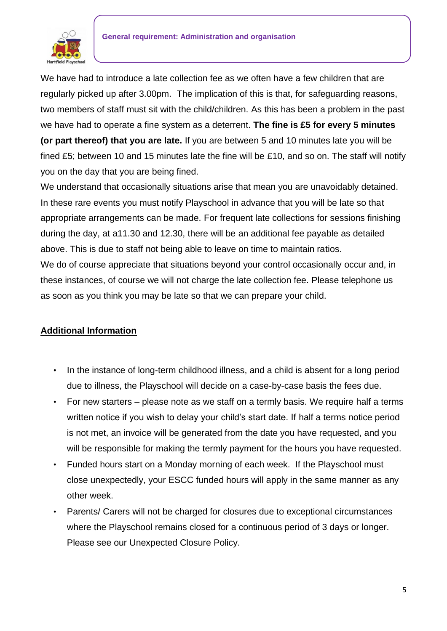

We have had to introduce a late collection fee as we often have a few children that are regularly picked up after 3.00pm. The implication of this is that, for safeguarding reasons, two members of staff must sit with the child/children. As this has been a problem in the past we have had to operate a fine system as a deterrent. **The fine is £5 for every 5 minutes (or part thereof) that you are late.** If you are between 5 and 10 minutes late you will be fined £5; between 10 and 15 minutes late the fine will be £10, and so on. The staff will notify you on the day that you are being fined.

We understand that occasionally situations arise that mean you are unavoidably detained. In these rare events you must notify Playschool in advance that you will be late so that appropriate arrangements can be made. For frequent late collections for sessions finishing during the day, at a11.30 and 12.30, there will be an additional fee payable as detailed above. This is due to staff not being able to leave on time to maintain ratios. We do of course appreciate that situations beyond your control occasionally occur and, in these instances, of course we will not charge the late collection fee. Please telephone us as soon as you think you may be late so that we can prepare your child.

### **Additional Information**

- In the instance of long-term childhood illness, and a child is absent for a long period due to illness, the Playschool will decide on a case-by-case basis the fees due.
- For new starters please note as we staff on a termly basis. We require half a terms written notice if you wish to delay your child's start date. If half a terms notice period is not met, an invoice will be generated from the date you have requested, and you will be responsible for making the termly payment for the hours you have requested.
- Funded hours start on a Monday morning of each week. If the Playschool must close unexpectedly, your ESCC funded hours will apply in the same manner as any other week.
- Parents/ Carers will not be charged for closures due to exceptional circumstances where the Playschool remains closed for a continuous period of 3 days or longer. Please see our Unexpected Closure Policy.